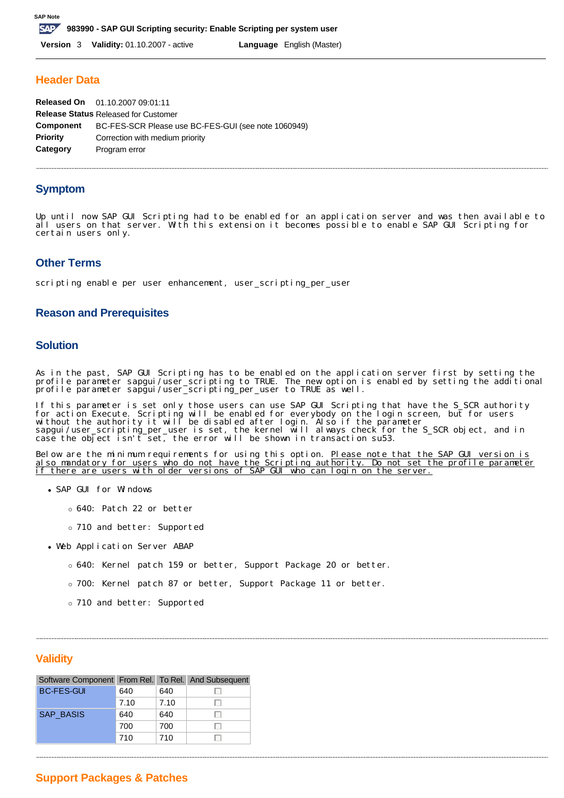### **Header Data**

| Released On 01.10.2007 09:01:11                     |
|-----------------------------------------------------|
| <b>Release Status Released for Customer</b>         |
| BC-FES-SCR Please use BC-FES-GUI (see note 1060949) |
| Correction with medium priority                     |
| Program error                                       |
|                                                     |

## **Symptom**

Up until now SAP GUI Scripting had to be enabled for an application server and was then available to all users on that server. With this extension it becomes possible to enable SAP GUI Scripting for certain users only.

## **Other Terms**

scripting enable per user enhancement, user\_scripting\_per\_user

#### **Reason and Prerequisites**

#### **Solution**

As in the past, SAP GUI Scripting has to be enabled on the application server first by setting the profile parameter sapgui/user\_scripting to TRUE. The new option is enabled by setting the additional profile parameter sapgui/user\_scripting\_per\_user to TRUE as well.

If this parameter is set only those users can use SAP GUI Scripting that have the S\_SCR authority for action Execute. Scripting will be enabled for everybody on the login screen, but for users without the authority it will be disabled after login. Also if the parameter sapgui/user\_scripting\_per\_user is set, the kernel will always check for the S\_SCR object, and in case the object isn't set, the error will be shown in transaction su53.

Below are the minimum requirements for using this option. <u>Please note that the SAP GUI version is</u> also mandatory for users who do not have the Scripting authority. Do not set the profile parameter if there are users with older versions of SAP GUI who can login on the server.

- SAP GUI for Windows
	- o 640: Patch 22 or better
	- ¡ 710 and better: Supported
- Web Application Server ABAP
	- o 640: Kernel patch 159 or better, Support Package 20 or better.
	- o 700: Kernel patch 87 or better, Support Package 11 or better.
	- ¡ 710 and better: Supported

### **Validity**

| Software Component From Rel. To Rel. And Subsequent |      |      |  |
|-----------------------------------------------------|------|------|--|
| <b>BC-FES-GUI</b>                                   | 640  | 640  |  |
|                                                     | 7.10 | 7.10 |  |
| <b>SAP BASIS</b>                                    | 640  | 640  |  |
|                                                     | 700  | 700  |  |
|                                                     | 710  | 710  |  |

# **Support Packages & Patches**